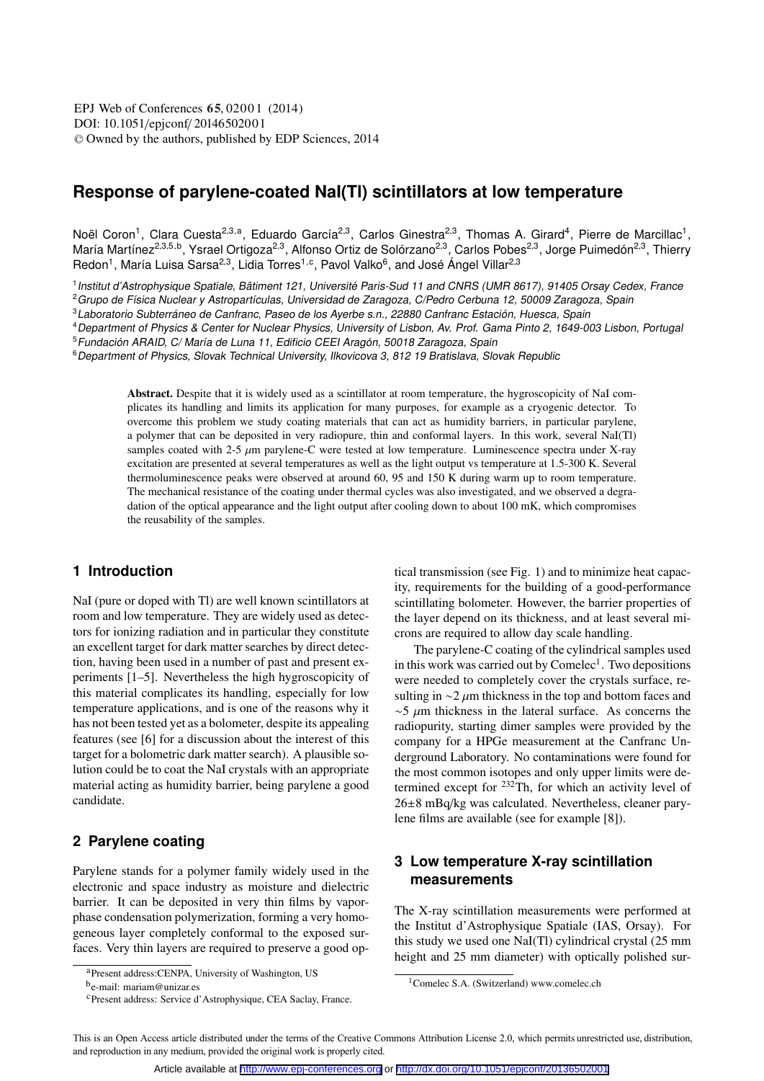# **Response of parylene-coated NaI(Tl) scintillators at low temperature**

Noël Coron<sup>1</sup>, Clara Cuesta<sup>2,3,a</sup>, Eduardo García<sup>2,3</sup>, Carlos Ginestra<sup>2,3</sup>, Thomas A. Girard<sup>4</sup>, Pierre de Marcillac<sup>1</sup>, María Martínez<sup>2,3,5,b</sup>, Ysrael Ortigoza<sup>2,3</sup>, Alfonso Ortiz de Solórzano<sup>2,3</sup>, Carlos Pobes<sup>2,3</sup>, Jorge Puimedón<sup>2,3</sup>, Thierry Redon<sup>1</sup>, María Luisa Sarsa<sup>2,3</sup>, Lidia Torres<sup>1,c</sup>, Pavol Valko<sup>6</sup>, and José Ángel Villar<sup>2,3</sup>

<sup>1</sup> Institut d'Astrophysique Spatiale, Bâtiment 121, Université Paris-Sud 11 and CNRS (UMR 8617), 91405 Orsay Cedex, France

<sup>2</sup> Grupo de Física Nuclear y Astropartículas, Universidad de Zaragoza, C/Pedro Cerbuna 12, 50009 Zaragoza, Spain

<sup>3</sup>Laboratorio Subterráneo de Canfranc, Paseo de los Ayerbe s.n., 22880 Canfranc Estación, Huesca, Spain

<sup>4</sup>Department of Physics & Center for Nuclear Physics, University of Lisbon, Av. Prof. Gama Pinto 2, 1649-003 Lisbon, Portugal

<sup>5</sup>Fundación ARAID, C/ María de Luna 11, Edificio CEEI Aragón, 50018 Zaragoza, Spain

<sup>6</sup>Department of Physics, Slovak Technical University, Ilkovicova 3, 812 19 Bratislava, Slovak Republic

Abstract. Despite that it is widely used as a scintillator at room temperature, the hygroscopicity of NaI complicates its handling and limits its application for many purposes, for example as a cryogenic detector. To overcome this problem we study coating materials that can act as humidity barriers, in particular parylene, a polymer that can be deposited in very radiopure, thin and conformal layers. In this work, several NaI(Tl) samples coated with  $2-5 \mu m$  parylene-C were tested at low temperature. Luminescence spectra under X-ray excitation are presented at several temperatures as well as the light output vs temperature at 1.5-300 K. Several thermoluminescence peaks were observed at around 60, 95 and 150 K during warm up to room temperature. The mechanical resistance of the coating under thermal cycles was also investigated, and we observed a degradation of the optical appearance and the light output after cooling down to about 100 mK, which compromises the reusability of the samples.

## **1 Introduction**

NaI (pure or doped with Tl) are well known scintillators at room and low temperature. They are widely used as detectors for ionizing radiation and in particular they constitute an excellent target for dark matter searches by direct detection, having been used in a number of past and present experiments [1–5]. Nevertheless the high hygroscopicity of this material complicates its handling, especially for low temperature applications, and is one of the reasons why it has not been tested yet as a bolometer, despite its appealing features (see [6] for a discussion about the interest of this target for a bolometric dark matter search). A plausible solution could be to coat the NaI crystals with an appropriate material acting as humidity barrier, being parylene a good candidate.

## **2 Parylene coating**

Parylene stands for a polymer family widely used in the electronic and space industry as moisture and dielectric barrier. It can be deposited in very thin films by vaporphase condensation polymerization, forming a very homogeneous layer completely conformal to the exposed surfaces. Very thin layers are required to preserve a good op-

<sup>a</sup>Present address:CENPA, University of Washington, US

tical transmission (see Fig. 1) and to minimize heat capacity, requirements for the building of a good-performance scintillating bolometer. However, the barrier properties of the layer depend on its thickness, and at least several microns are required to allow day scale handling.

The parylene-C coating of the cylindrical samples used in this work was carried out by Comelec<sup>1</sup>. Two depositions were needed to completely cover the crystals surface, resulting in  $\sim$ 2  $\mu$ m thickness in the top and bottom faces and  $~\sim$ 5  $\mu$ m thickness in the lateral surface. As concerns the radiopurity, starting dimer samples were provided by the company for a HPGe measurement at the Canfranc Underground Laboratory. No contaminations were found for the most common isotopes and only upper limits were determined except for  $232$ Th, for which an activity level of 26±8 mBq/kg was calculated. Nevertheless, cleaner parylene films are available (see for example [8]).

## **3 Low temperature X-ray scintillation measurements**

The X-ray scintillation measurements were performed at the Institut d'Astrophysique Spatiale (IAS, Orsay). For this study we used one NaI(Tl) cylindrical crystal (25 mm height and 25 mm diameter) with optically polished sur-

b e-mail: mariam@unizar.es

<sup>c</sup>Present address: Service d'Astrophysique, CEA Saclay, France.

<sup>&</sup>lt;sup>1</sup>Comelec S.A. (Switzerland) www.comelec.ch

This is an Open Access article distributed under the terms of the Creative Commons Attribution License 2.0, which permits unrestricted use, distribution, and reproduction in any medium, provided the original work is properly cited.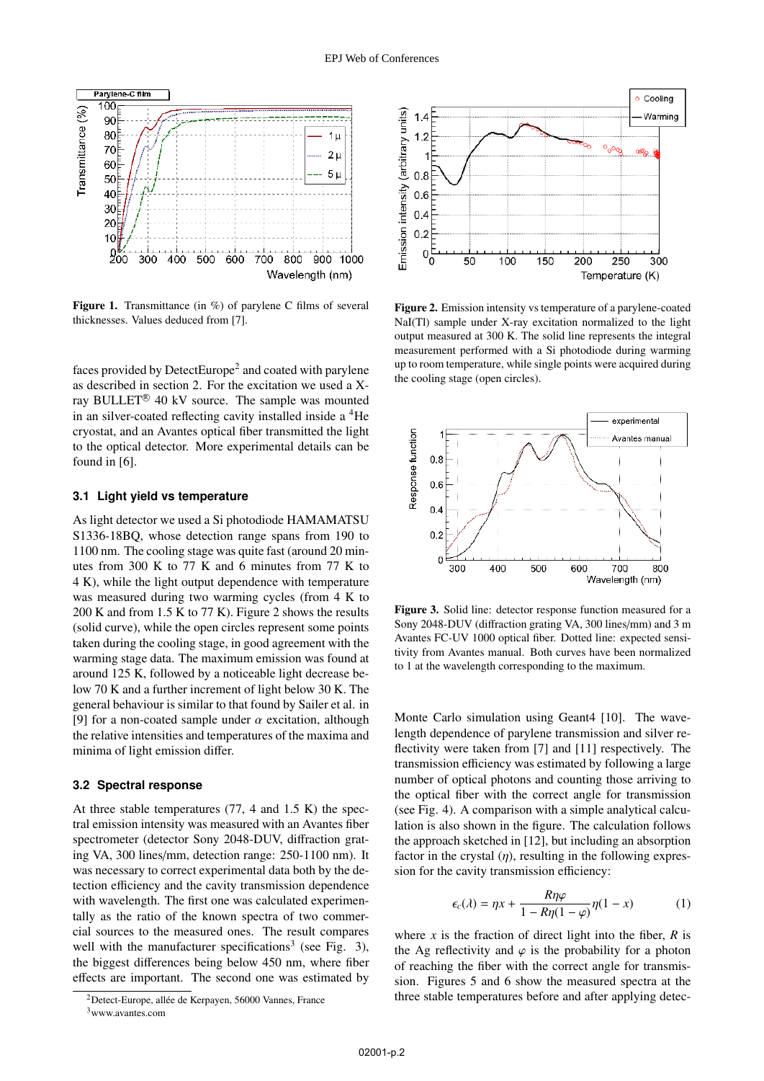

Figure 1. Transmittance (in %) of parylene C films of several thicknesses. Values deduced from [7].

faces provided by DetectEurope<sup>2</sup> and coated with parylene as described in section 2. For the excitation we used a Xray BULLET<sup>®</sup> 40 kV source. The sample was mounted in an silver-coated reflecting cavity installed inside a <sup>4</sup>He cryostat, and an Avantes optical fiber transmitted the light to the optical detector. More experimental details can be found in [6].

#### **3.1 Light yield vs temperature**

As light detector we used a Si photodiode HAMAMATSU S1336-18BQ, whose detection range spans from 190 to 1100 nm. The cooling stage was quite fast (around 20 minutes from 300 K to 77 K and 6 minutes from 77 K to 4 K), while the light output dependence with temperature was measured during two warming cycles (from 4 K to 200 K and from 1.5 K to 77 K). Figure 2 shows the results (solid curve), while the open circles represent some points taken during the cooling stage, in good agreement with the warming stage data. The maximum emission was found at around 125 K, followed by a noticeable light decrease below 70 K and a further increment of light below 30 K. The general behaviour is similar to that found by Sailer et al. in [9] for a non-coated sample under  $\alpha$  excitation, although the relative intensities and temperatures of the maxima and minima of light emission differ.

#### **3.2 Spectral response**

At three stable temperatures (77, 4 and 1.5 K) the spectral emission intensity was measured with an Avantes fiber spectrometer (detector Sony 2048-DUV, diffraction grating VA, 300 lines/mm, detection range: 250-1100 nm). It was necessary to correct experimental data both by the detection efficiency and the cavity transmission dependence with wavelength. The first one was calculated experimentally as the ratio of the known spectra of two commercial sources to the measured ones. The result compares well with the manufacturer specifications<sup>3</sup> (see Fig. 3), the biggest differences being below 450 nm, where fiber effects are important. The second one was estimated by



Figure 2. Emission intensity vs temperature of a parylene-coated NaI(Tl) sample under X-ray excitation normalized to the light output measured at 300 K. The solid line represents the integral measurement performed with a Si photodiode during warming up to room temperature, while single points were acquired during the cooling stage (open circles).



Figure 3. Solid line: detector response function measured for a Sony 2048-DUV (diffraction grating VA, 300 lines/mm) and 3 m Avantes FC-UV 1000 optical fiber. Dotted line: expected sensitivity from Avantes manual. Both curves have been normalized to 1 at the wavelength corresponding to the maximum.

Monte Carlo simulation using Geant4 [10]. The wavelength dependence of parylene transmission and silver reflectivity were taken from [7] and [11] respectively. The transmission efficiency was estimated by following a large number of optical photons and counting those arriving to the optical fiber with the correct angle for transmission (see Fig. 4). A comparison with a simple analytical calculation is also shown in the figure. The calculation follows the approach sketched in [12], but including an absorption factor in the crystal  $(\eta)$ , resulting in the following expression for the cavity transmission efficiency:

$$
\epsilon_c(\lambda) = \eta x + \frac{R\eta\varphi}{1 - R\eta(1 - \varphi)}\eta(1 - x) \tag{1}
$$

where  $x$  is the fraction of direct light into the fiber,  $R$  is the Ag reflectivity and  $\varphi$  is the probability for a photon of reaching the fiber with the correct angle for transmission. Figures 5 and 6 show the measured spectra at the three stable temperatures before and after applying detec-

<sup>2</sup>Detect-Europe, allée de Kerpayen, 56000 Vannes, France <sup>3</sup>www.avantes.com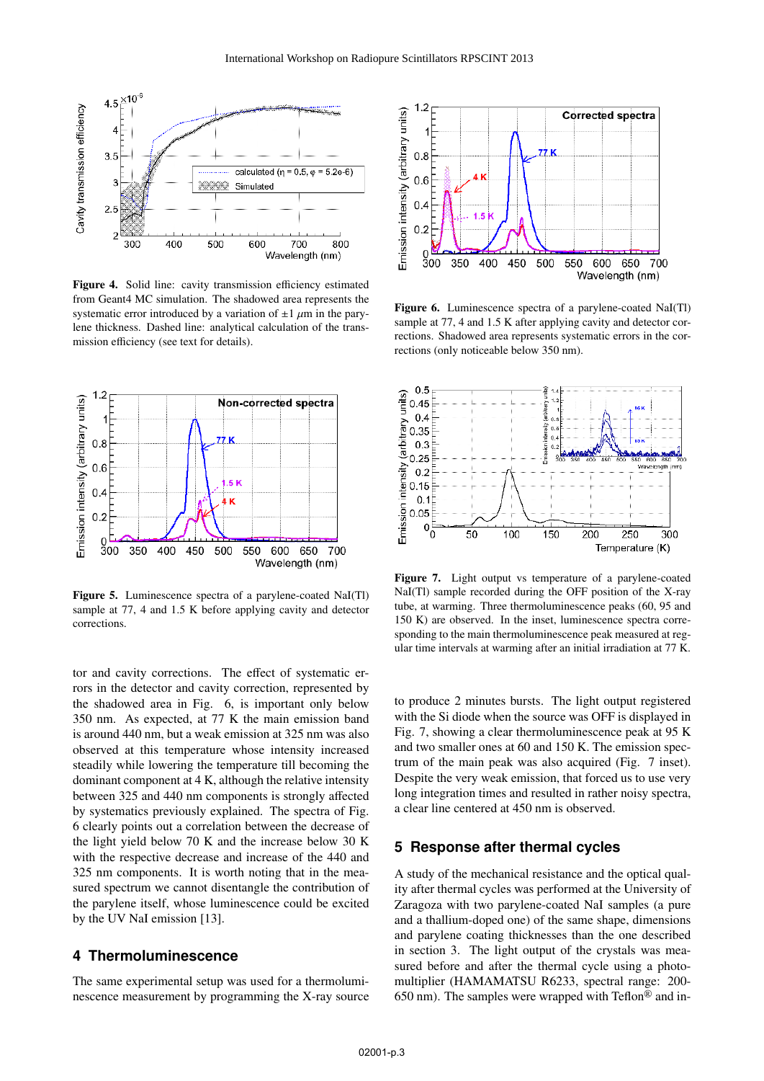

Figure 4. Solid line: cavity transmission efficiency estimated from Geant4 MC simulation. The shadowed area represents the systematic error introduced by a variation of  $\pm 1$   $\mu$ m in the parylene thickness. Dashed line: analytical calculation of the transmission efficiency (see text for details).



Figure 5. Luminescence spectra of a parylene-coated NaI(Tl) sample at 77, 4 and 1.5 K before applying cavity and detector corrections.

tor and cavity corrections. The effect of systematic errors in the detector and cavity correction, represented by the shadowed area in Fig. 6, is important only below 350 nm. As expected, at 77 K the main emission band is around 440 nm, but a weak emission at 325 nm was also observed at this temperature whose intensity increased steadily while lowering the temperature till becoming the dominant component at 4 K, although the relative intensity between 325 and 440 nm components is strongly affected by systematics previously explained. The spectra of Fig. 6 clearly points out a correlation between the decrease of the light yield below 70 K and the increase below 30 K with the respective decrease and increase of the 440 and 325 nm components. It is worth noting that in the measured spectrum we cannot disentangle the contribution of the parylene itself, whose luminescence could be excited by the UV NaI emission [13].

## **4 Thermoluminescence**

The same experimental setup was used for a thermoluminescence measurement by programming the X-ray source



Figure 6. Luminescence spectra of a parylene-coated NaI(Tl) sample at 77, 4 and 1.5 K after applying cavity and detector corrections. Shadowed area represents systematic errors in the corrections (only noticeable below 350 nm).



Figure 7. Light output vs temperature of a parylene-coated NaI(Tl) sample recorded during the OFF position of the X-ray tube, at warming. Three thermoluminescence peaks (60, 95 and 150 K) are observed. In the inset, luminescence spectra corresponding to the main thermoluminescence peak measured at regular time intervals at warming after an initial irradiation at 77 K.

to produce 2 minutes bursts. The light output registered with the Si diode when the source was OFF is displayed in Fig. 7, showing a clear thermoluminescence peak at 95 K and two smaller ones at 60 and 150 K. The emission spectrum of the main peak was also acquired (Fig. 7 inset). Despite the very weak emission, that forced us to use very long integration times and resulted in rather noisy spectra, a clear line centered at 450 nm is observed.

#### **5 Response after thermal cycles**

A study of the mechanical resistance and the optical quality after thermal cycles was performed at the University of Zaragoza with two parylene-coated NaI samples (a pure and a thallium-doped one) of the same shape, dimensions and parylene coating thicknesses than the one described in section 3. The light output of the crystals was measured before and after the thermal cycle using a photomultiplier (HAMAMATSU R6233, spectral range: 200- 650 nm). The samples were wrapped with Teflon® and in-